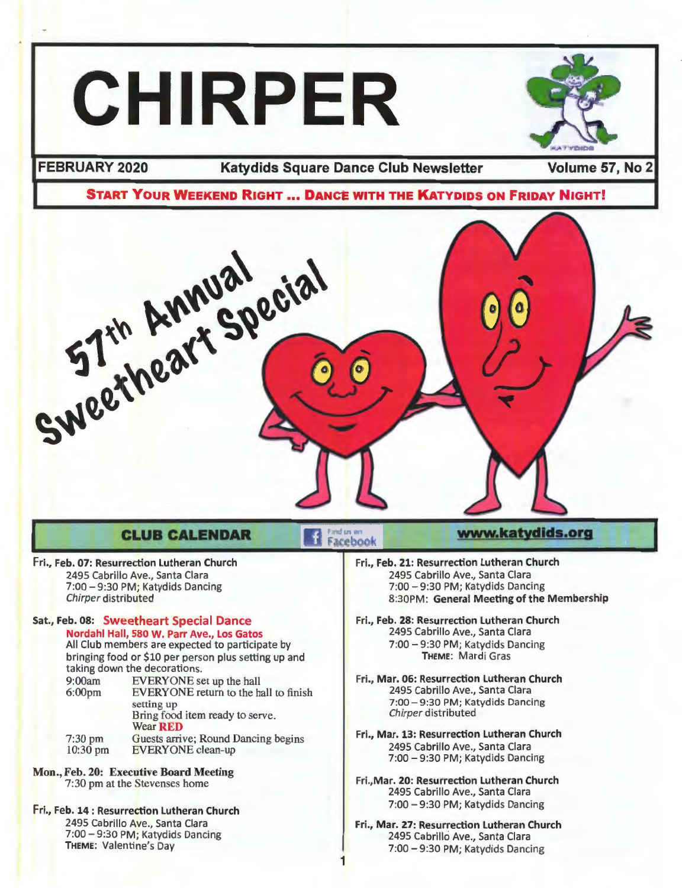# **CHIRPER**



**FEBRUARY 2020 Katydids Square Dance Club Newsletter Volume 57, No 2** 



Facebook

1

### **CLUB CALENDAR**

### Fri., Feb. 07: Resurrection Lutheran Church

2495 Cabrillo Ave., Santa Clara 7:00 - 9:30 PM; Katydids Dancing Chirper distributed

#### Sat., Feb. 08: Sweetheart Special Dance Nordahl Hall, 580 W. Parr Ave., Los Gatos

All Club members are expected to participate by bringing food or \$10 per person plus setting up and taking down the decorations.

- 9:00am EVERYONE set up the hall<br>6:00pm EVERYONE return to the hall EVERYONE return to the hall to finish setting up 7:30 pm 10:30 pm Bring food item ready to serve. Wear RED Guests arrive; Round Dancing begins EVERYONE clean-up
- Mon., Feb. 20: Executive Board Meeting 7:30 pm at the Stevenses home
- Fri., Feb. 14 : Resurrection Lutheran Church 2495 Cabrillo Ave., Santa Clara 7:00 - 9:30 PM; Katydids Dancing THEME: Valentine's Day

#### Fri., Feb. 21: Resurrection Lutheran Church 2495 Cabrillo Ave., Santa Clara 7:00 - 9:30 PM; Katydids Dancing 8:30PM: General Meeting of the Membership

- Fri., Feb. 28: Resurrection Lutheran Church 2495 Cabrillo Ave., Santa Clara 7:00 - 9:30 PM; Katydids Dancing THEME: Mardi Gras
- Fri., Mar. 06: Resurrection Lutheran Church 2495 Cabrillo Ave., Santa Clara 7:00 - 9:30 PM; Katydids Dancing Chirper distributed
- Fri., Mar. 13: Resurrection Lutheran Church 2495 Cabrillo Ave., Santa Clara 7:00 - 9:30 PM; Katydids Dancing
- Fri.,Mar. 20: Resurrection Lutheran Church 2495 Cabrillo Ave., Santa Clara 7:00 - 9:30 PM; Katydids Dancing
- Fri., Mar. 27: Resurrection Lutheran Church 2495 Cabrillo Ave., Santa Clara 7:00 - 9:30 PM; Katydids Dancing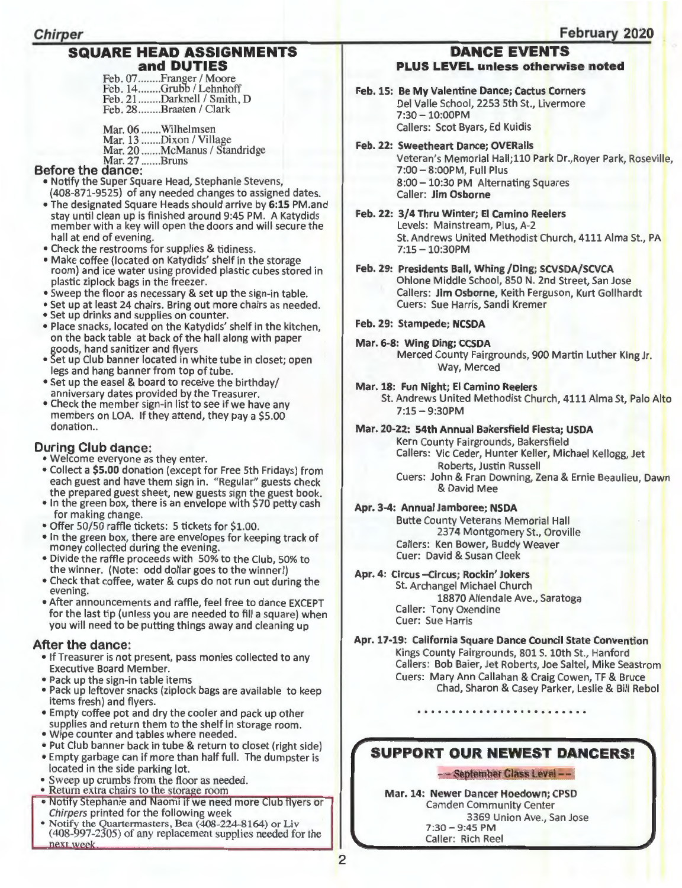### **SQUARE HEAD ASSIGNMENTS and DUTIES**

Feb. 07........Franger / Moore Feb. 14........Grubb / Lehnhoff Feb. 21 .......Darknell / Smith, D Feb. 28 ........ Braaten / Clark

Mar. 06 ....... Wilhelmsen Mar. 13 .......Dixon / Village Mar. 20 .......McManus / Standridge

### Mar. 27 ....... Bruns **Before the dance:**

- Notify the Super Square Head, Stephanie Stevens, (408-871-9525) of any needed changes to assigned dates.
- •The designated Square Heads should arrive by **6:15** PM.and stay until clean up is finished around 9:45 PM. A Katydids member with a key will open the doors and will secure the hall at end of evening.
- Check the restrooms for supplies & tidiness.
- Make coffee (located on Katydids' shelf in the storage room) and ice water using provided plastic cubes stored in plastic ziplock bags in the freezer.
- Sweep the floor as necessary & set up the sign-in table.
- Set up at least 24 chairs. Bring out more chairs as needed.
- Set up drinks and supplies on counter.
- Place snacks, located on the Katydids' shelf in the kitchen, on the back table at back of the hall along with paper goods, hand sanitizer and flyers
- Set up Club banner located in white tube in closet; open legs and hang banner from top of tube.
- •Set up the easel & board to receive the birthday/ anniversary dates provided by the Treasurer.
- Check the member sign-in list to see if we have any members on LOA. If they attend, they pay a \$5.00 donation...

### **During Club dance:**

- Welcome everyone as they enter.
- •Collect a **\$5.00** donation (except for Free 5th Fridays) from each guest and have them sign in. "Regular" guests check the prepared guest sheet, new guests sign the guest book.
- In the green box, there is an envelope with \$70 petty cash for making change.
- Offer 50/50 raffle tickets: 5 tickets for \$1.00.
- In the green box, there are envelopes for keeping track of money collected during the evening.
- Divide the raffle proceeds with 50% to the Club, 50% to the winner. (Note: odd dollar goes to the winner!)
- Check that coffee, water & cups do not run out during the evening.
- •After announcements and raffle, feel free to dance EXCEPT for the last tip (unless you are needed to fill a square) when you will need to be putting things away and cleaning up

### **After the dance:**

- •If Treasurer is not present, pass monies collected to any Executive Board Member.
- Pack up the sign-in table items
- Pack up leftover snacks (ziplock bags are available to keep items fresh) and flyers.
- Empty coffee pot and dry the cooler and pack up other supplies and return them to the shelf in storage room.
- Wipe counter and tables where needed.
- Put Club banner back in tube & return to closet (right side)
- Empty garbage can if more than half full. The dumpster is located in the side parking lot.
- Sweep up crumbs from the floor as needed.<br>• Return extra chairs to the storage room
- 
- Notify Stephanie and Naomi if we need more Club flyers or Chirpers printed for the following week
- Notify the Quartermasters, Bea (408-224-8164) or Liv (408-997-2305) of any replacement supplies needed for the

### **February 2020**

#### **DANCE EVENTS PLUS LEVEL unless otherwise noted**

- **Feb. 15: Be My Valentine Dance; Cactus Corners**  Del Valle School, 2253 5th St., Livermore  $7:30 - 10:00$ PM Callers: Scot Byars, Ed Kuidis
- **Feb. 22: Sweetheart Dance; OVERalls**

Veteran's Memorial Hall;110 Park Dr.,Royer Park, Roseville, 7:00- 8:00PM, Full Plus 8:00-10:30 PM Alternating Squares Caller: **Jim Osborne** 

- **Feb. 22: 3/4 Thru Winter; El Camino Reelers**  Levels: Mainstream, Plus, A-2 St. Andrews United Methodist Church, 4111 Alma St., PA 7:15 - 10:30PM
- **Feb. 29: Presidents Ball, Whing /Ding; SCVSDA/SCVCA**  Ohlone Middle School, 850 N. 2nd Street, San Jose Callers: **Jim Osborne,** Keith Ferguson, Kurt Gollhardt Cuers: Sue Harris, Sandi Kremer
- **Feb. 29: Stampede; NCSDA**
- **Mar. 6-8: Wing Ding; CCSDA**

Merced County Fairgrounds, 900 Martin Luther King Jr. Way, Merced

**Mar. 18: Fun Night; El Camino Reelers**  St. Andrews United Methodist Church, 4111 Alma St, Palo Alto  $7:15 - 9:30$ PM

### **Mar. 20-22: 54th Annual Bakersfield Fiesta; USDA**

Kern County Fairgrounds, Bakersfield Callers: Vic Ceder, Hunter Keller, Michael Kellogg, Jet Roberts, Justin Russell Cuers: John & Fran Downing, Zena & Ernie Beaulieu, Dawn & David Mee

### **Apr. 3-4: Annual Jamboree; NSDA**

Butte County Veterans Memorial Hall 2374 Montgomery St., Oroville Callers: Ken Bower, Buddy Weaver Cuer: David & Susan Cleek

### **Apr. 4: Circus -Circus; Rockin' Jokers**

St. Archangel Michael Church 18870 Allendale Ave., Saratoga Caller: Tony Oxendine Cuer: Sue Harris

**Apr. 17-19: California Square Dance Council State Convention**  Kings County Fairgrounds, 801 S. 10th St., Hanford Callers: Bob Baier, Jet Roberts, Joe Saltel, Mike Seastrom Cuers: Mary Ann Callahan & Craig Cowen, TF & Bruce Chad, Sharon & Casey Parker, Leslie & Bill Rebol

### **SUPPORT OUR NEWEST DANCERS!**

### - - **September Class Level** - -

**Mar. 14: Newer Dancer Hoedown; CPSD**  Camden Community Center 3369 Union Ave., San Jose  $7:30 - 9:45$  PM Caller: Rich Reel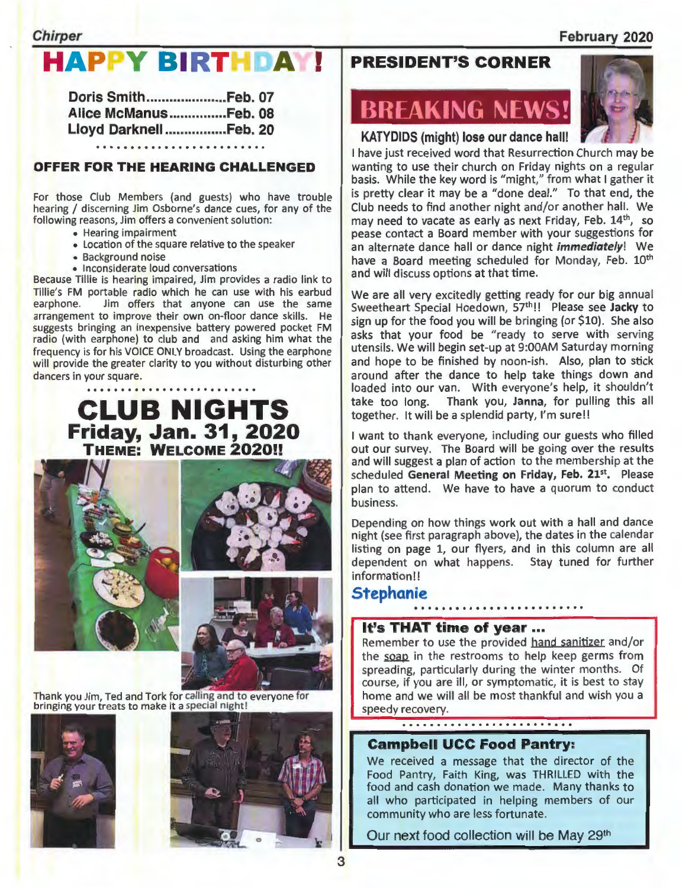### February 2020

### **Chirper**

### **APPY BIRTHDAY**

| Doris SmithFeb. 07     |  |  |  |  |  |  |  |  |  |  |
|------------------------|--|--|--|--|--|--|--|--|--|--|
| Alice McManusFeb. 08   |  |  |  |  |  |  |  |  |  |  |
| Lloyd Darknell Feb. 20 |  |  |  |  |  |  |  |  |  |  |
|                        |  |  |  |  |  |  |  |  |  |  |

### OFFER FOR THE HEARING CHALLENGED

For those Club Members (and guests) who have trouble hearing / discerning Jim Osborne's dance cues, for any of the following reasons, Jim offers a convenient solution:

- Hearing impairment
- Location of the square relative to the speaker
- Background noise
- Inconsiderate loud conversations

Because Tillie is hearing impaired, Jim provides a radio link to Tillie's FM portable radio which he can use with his earbud earphone. Jim offers that anyone can use the same arrangement to improve their own on-floor dance skills. He suggests bringing an inexpensive battery powered pocket FM radio (with earphone) to club and and asking him what the frequency is for his VOICE ONLY broadcast. Using the earphone will provide the greater clarity to you without disturbing other dancers in your square.

### CLUB NIGHTS Friday, Jan. 31, 2020 THEME: WELCOME 2020!!







Thank you Jim. Ted and Tork for calling and to everyone for bringing your treats to make it a special night!





### PRESIDENT'S CORNER

## **BREAKING NEWS!**



### KATYDIDS (might) lose our dance hall!

I have just received word that Resurrection Church may be wanting to use their church on Friday nights on a regular basis. While the key word is "might," from what I gather it is pretty clear it may be a "done deal." To that end, the Club needs to find another night and/or another hall. We may need to vacate as early as next Friday, Feb. 14th, so pease contact a Board member with your suggestions for an alternate dance hall or dance night *immediately!* We have a Board meeting scheduled for Monday, Feb.  $10^{th}$ and will discuss options at that time.

We are all very excitedly getting ready for our big annual Sweetheart Special Hoedown, 57th!! Please see Jacky to sign up for the food you will be bringing (or \$10). She also asks that your food be "ready to serve with serving utensils. We will begin set-up at 9:00AM Saturday morning and hope to be finished by noon-ish. Also, plan to stick around after the dance to help take things down and loaded into our van. With everyone's help, it shouldn't take too long. Thank you, Janna, for pulling this all together. It will be a splendid party, I'm sure!!

I want to thank everyone, including our guests who filled out our survey. The Board will be going over the results and will suggest a plan of action to the membership at the scheduled General Meeting on Friday, Feb. 21st. Please plan to attend. We have to have a quorum to conduct business.

Depending on how things work out with a hall and dance night (see first paragraph above), the dates in the calendar listing on page 1, our flyers, and in this column are all dependent on what happens. Stay tuned for further information!!

### Stephanie

### It's THAT time of year ...

Remember to use the provided hand sanitizer and/or the soap in the restrooms to help keep germs from spreading, particularly during the winter months. Of course, if you are ill, or symptomatic, it is best to stay home and we will all be most thankful and wish you a speedy recovery.

### Campbell UCC Food Pantry:

We received a message that the director of the Food Pantry, Faith King, was THRILLED with the food and cash donation we made. Many thanks to all who participated in helping members of our community who are less fortunate.

Our next food collection will be May 29th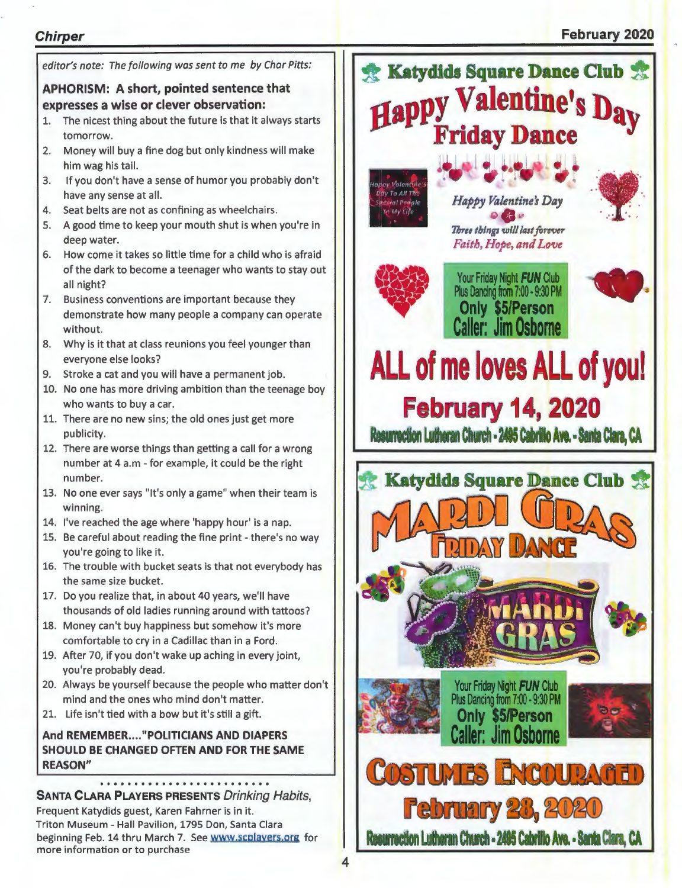### **Chirper**

### **February 2020**

|          | editor's note: The following was sent to me by Char Pitts:                                                                     | <b>Katydids Square Dance Club &amp;</b>                                                      |
|----------|--------------------------------------------------------------------------------------------------------------------------------|----------------------------------------------------------------------------------------------|
|          | APHORISM: A short, pointed sentence that<br>expresses a wise or clever observation:                                            | Happy Valentine's Day                                                                        |
| 1.       | The nicest thing about the future is that it always starts<br>tomorrow.                                                        | <b>Friday Dance</b>                                                                          |
| 2.       | Money will buy a fine dog but only kindness will make<br>him wag his tail.                                                     |                                                                                              |
| 3.       | If you don't have a sense of humor you probably don't<br>have any sense at all.                                                | Valentine<br><b>Day To All The</b><br>Happy Valentine's Day<br><b><i>activel Periple</i></b> |
| 4.<br>5. | Seat belts are not as confining as wheelchairs.<br>A good time to keep your mouth shut is when you're in                       | n My Life                                                                                    |
|          | deep water.                                                                                                                    | Three things will last forever<br>Faith, Hope, and Love                                      |
| 6.       | How come it takes so little time for a child who is afraid<br>of the dark to become a teenager who wants to stay out           | Your Friday Night FUN Club                                                                   |
| 7.       | all night?<br>Business conventions are important because they<br>demonstrate how many people a company can operate<br>without. | Plus Dancing from 7:00 - 9:30 PM<br>Only \$5/Person<br><b>Caller: Jim Osborne</b>            |
| 8.       | Why is it that at class reunions you feel younger than<br>everyone else looks?                                                 |                                                                                              |
| 9.       | Stroke a cat and you will have a permanent job.                                                                                | ALL of me loves ALL of you!                                                                  |
|          | 10. No one has more driving ambition than the teenage boy                                                                      |                                                                                              |
|          | who wants to buy a car.<br>11. There are no new sins; the old ones just get more                                               | <b>February 14, 2020</b>                                                                     |
|          | publicity.                                                                                                                     | Resurrection Lutheran Church - 2495 Cabrillo Ave. - Santa Clara, CA                          |
|          | 12. There are worse things than getting a call for a wrong<br>number at 4 a.m - for example, it could be the right             |                                                                                              |
|          | number.                                                                                                                        | <b>Katydids Square Dance Club</b>                                                            |
|          | 13. No one ever says "It's only a game" when their team is<br>winning.                                                         |                                                                                              |
|          | 14. I've reached the age where 'happy hour' is a nap.                                                                          |                                                                                              |
|          | 15. Be careful about reading the fine print - there's no way<br>you're going to like it.                                       |                                                                                              |
|          | 16. The trouble with bucket seats is that not everybody has<br>the same size bucket.                                           |                                                                                              |
|          | 17. Do you realize that, in about 40 years, we'll have                                                                         |                                                                                              |
|          | thousands of old ladies running around with tattoos?                                                                           |                                                                                              |
|          | 18. Money can't buy happiness but somehow it's more<br>comfortable to cry in a Cadillac than in a Ford.                        |                                                                                              |
|          | 19. After 70, if you don't wake up aching in every joint,                                                                      |                                                                                              |
|          | you're probably dead.                                                                                                          |                                                                                              |
|          | 20. Always be yourself because the people who matter don't<br>mind and the ones who mind don't matter.                         | Your Friday Night FUN Club<br>Plus Dancing from 7:00 - 9:30 PM                               |
|          | 21. Life isn't tied with a bow but it's still a gift.                                                                          | <b>Only \$5/Person</b>                                                                       |
|          | And REMEMBER "POLITICIANS AND DIAPERS<br>SHOULD BE CHANGED OFTEN AND FOR THE SAME<br><b>REASON"</b>                            | <b>Caller: Jim Osborne</b>                                                                   |
|          |                                                                                                                                | COSTUMES ENCOUPAGED                                                                          |
|          | <b>SANTA CLARA PLAYERS PRESENTS Drinking Habits,</b>                                                                           |                                                                                              |
|          | Frequent Katydids guest, Karen Fahrner is in it.<br>Triton Museum - Hall Pavilion, 1795 Don, Santa Clara                       | <b>February 28, 2020</b>                                                                     |
|          | beginning Feb. 14 thru March 7. See www.scplayers.org for<br>more information or to purchase                                   | Resurrection Lutheran Church - 2495 Cabrillo Ave. - Santa Clara, CA                          |
|          |                                                                                                                                |                                                                                              |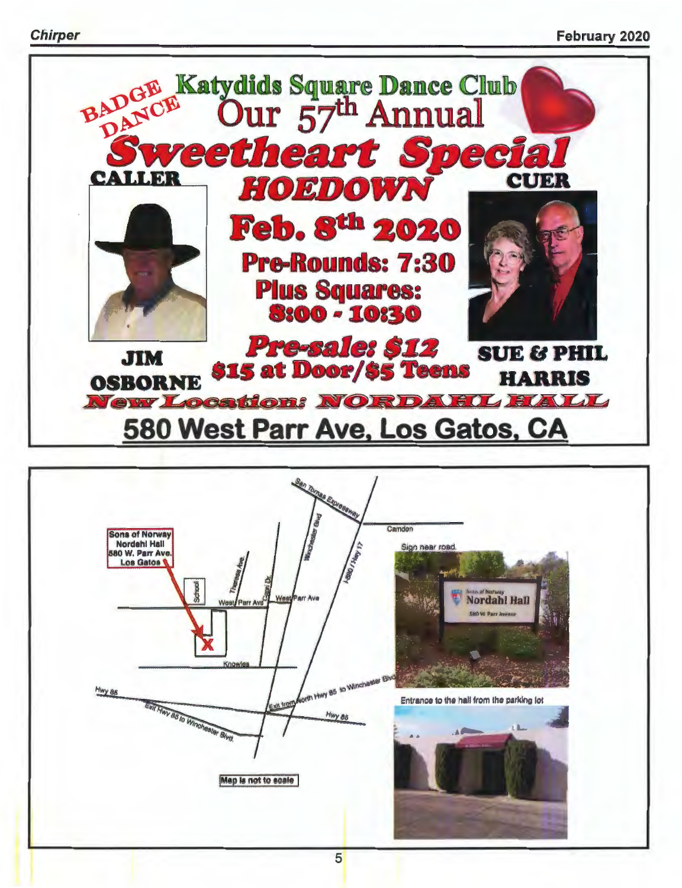